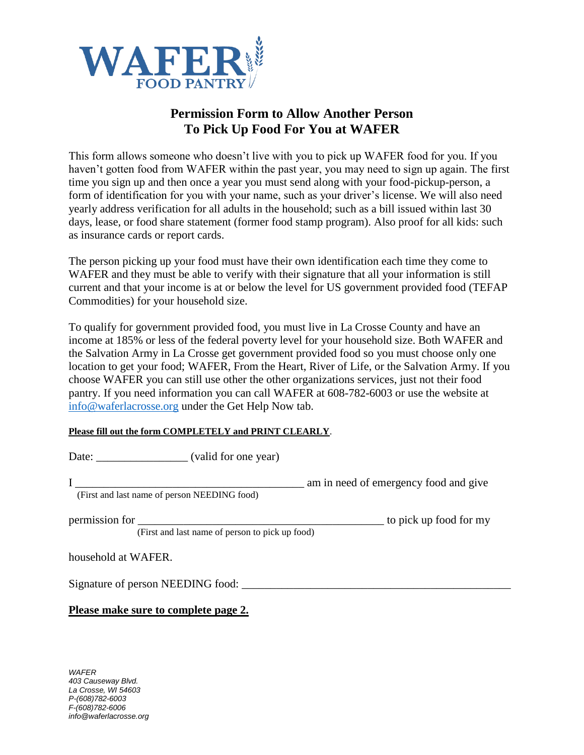

## **Permission Form to Allow Another Person To Pick Up Food For You at WAFER**

This form allows someone who doesn't live with you to pick up WAFER food for you. If you haven't gotten food from WAFER within the past year, you may need to sign up again. The first time you sign up and then once a year you must send along with your food-pickup-person, a form of identification for you with your name, such as your driver's license. We will also need yearly address verification for all adults in the household; such as a bill issued within last 30 days, lease, or food share statement (former food stamp program). Also proof for all kids: such as insurance cards or report cards.

The person picking up your food must have their own identification each time they come to WAFER and they must be able to verify with their signature that all your information is still current and that your income is at or below the level for US government provided food (TEFAP Commodities) for your household size.

To qualify for government provided food, you must live in La Crosse County and have an income at 185% or less of the federal poverty level for your household size. Both WAFER and the Salvation Army in La Crosse get government provided food so you must choose only one location to get your food; WAFER, From the Heart, River of Life, or the Salvation Army. If you choose WAFER you can still use other the other organizations services, just not their food pantry. If you need information you can call WAFER at 608-782-6003 or use the website at [info@waferlacrosse.org](mailto:info@waferlacrosse.org) under the Get Help Now tab.

## **Please fill out the form COMPLETELY and PRINT CLEARLY**.

Date: valid for one year)

I \_\_\_\_\_\_\_\_\_\_\_\_\_\_\_\_\_\_\_\_\_\_\_\_\_\_\_\_\_\_\_\_\_\_\_\_\_\_\_\_ am in need of emergency food and give

(First and last name of person NEEDING food)

| permission for |                                                              | to pick up food for my |
|----------------|--------------------------------------------------------------|------------------------|
|                | $(F_{\text{irct}})$ and last name of person to pick up food) |                        |

(First and last name of person to pick up food)

household at WAFER.

Signature of person NEEDING food:

**Please make sure to complete page 2.**

*WAFER 403 Causeway Blvd. La Crosse, WI 54603 P-(608)782-6003 F-(608)782-6006 info@waferlacrosse.org*